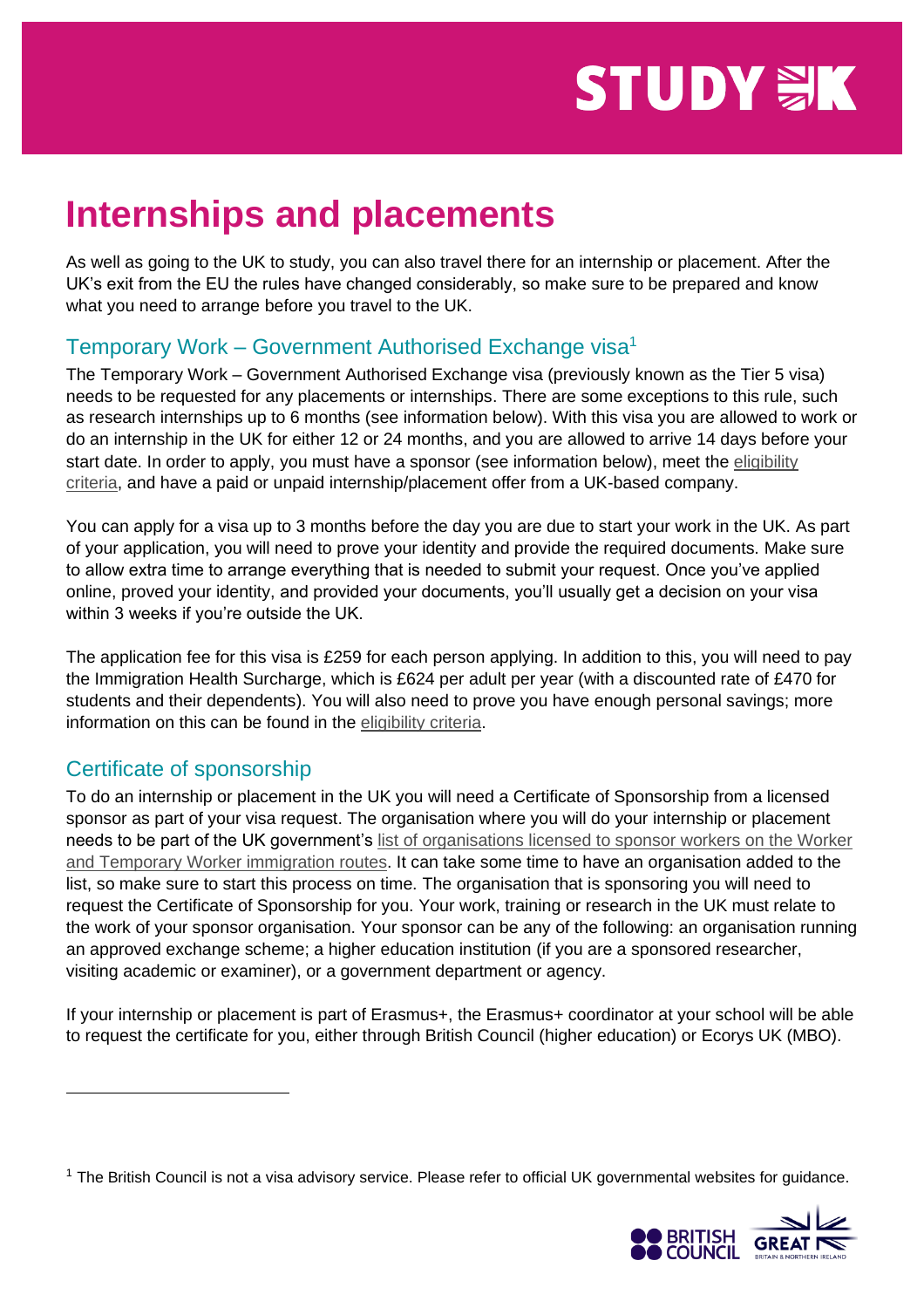# **STUDY WK**

# **Internships and placements**

As well as going to the UK to study, you can also travel there for an internship or placement. After the UK's exit from the EU the rules have changed considerably, so make sure to be prepared and know what you need to arrange before you travel to the UK.

## Temporary Work – Government Authorised Exchange visa<sup>1</sup>

The Temporary Work – Government Authorised Exchange visa (previously known as the Tier 5 visa) needs to be requested for any placements or internships. There are some exceptions to this rule, such as research internships up to 6 months (see information below). With this visa you are allowed to work or do an internship in the UK for either 12 or 24 months, and you are allowed to arrive 14 days before your start date. In order to apply, you must have a sponsor (see information below), meet the eligibility [criteria,](https://www.gov.uk/government-authorised-exchange/eligibility) and have a paid or unpaid internship/placement offer from a UK-based company.

You can apply for a visa up to 3 months before the day you are due to start your work in the UK. As part of your application, you will need to prove your identity and provide the required documents. Make sure to allow extra time to arrange everything that is needed to submit your request. Once you've applied online, proved your identity, and provided your documents, you'll usually get a decision on your visa within 3 weeks if you're outside the UK.

The application fee for this visa is £259 for each person applying. In addition to this, you will need to pay the Immigration Health Surcharge, which is £624 per adult per year (with a discounted rate of £470 for students and their dependents). You will also need to prove you have enough personal savings; more information on this can be found in the [eligibility criteria.](https://www.gov.uk/government-authorised-exchange/eligibility)

#### Certificate of sponsorship

To do an internship or placement in the UK you will need a Certificate of Sponsorship from a licensed sponsor as part of your visa request. The organisation where you will do your internship or placement needs to be part of the UK government's [list of organisations licensed to sponsor workers on the Worker](https://www.gov.uk/government/publications/register-of-licensed-sponsors-workers)  [and Temporary Worker immigration routes.](https://www.gov.uk/government/publications/register-of-licensed-sponsors-workers) It can take some time to have an organisation added to the list, so make sure to start this process on time. The organisation that is sponsoring you will need to request the Certificate of Sponsorship for you. Your work, training or research in the UK must relate to the work of your sponsor organisation. Your sponsor can be any of the following: an organisation running an approved exchange scheme; a higher education institution (if you are a sponsored researcher, visiting academic or examiner), or a government department or agency.

If your internship or placement is part of Erasmus+, the Erasmus+ coordinator at your school will be able to request the certificate for you, either through British Council (higher education) or Ecorys UK (MBO).

<sup>&</sup>lt;sup>1</sup> The British Council is not a visa advisory service. Please refer to official UK governmental websites for guidance.